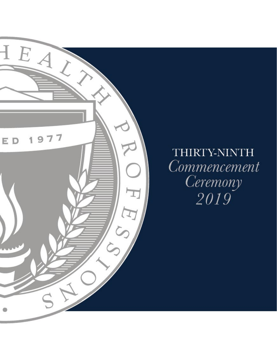

# THIRTY-NINTH Commencement Ceremony 2019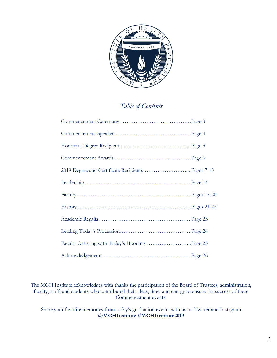

### *Table of Contents*

| 2019 Degree and Certificate Recipients Pages 7-13 |  |
|---------------------------------------------------|--|
|                                                   |  |
|                                                   |  |
|                                                   |  |
|                                                   |  |
|                                                   |  |
|                                                   |  |
|                                                   |  |

The MGH Institute acknowledges with thanks the participation of the Board of Trustees, administration, faculty, staff, and students who contributed their ideas, time, and energy to ensure the success of these Commencement events.

Share your favorite memories from today's graduation events with us on Twitter and Instagram **@MGHInstitute #MGHInstitute2019**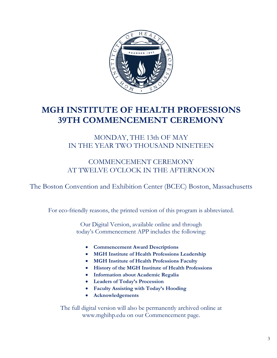

## **MGH INSTITUTE OF HEALTH PROFESSIONS 39TH COMMENCEMENT CEREMONY**

### MONDAY, THE 13th OF MAY IN THE YEAR TWO THOUSAND NINETEEN

### COMMENCEMENT CEREMONY AT TWELVE O'CLOCK IN THE AFTERNOON

The Boston Convention and Exhibition Center (BCEC) Boston, Massachusetts

For eco-friendly reasons, the printed version of this program is abbreviated.

Our Digital Version, available online and through today's Commencement APP includes the following:

- **Commencement Award Descriptions**
- **MGH Institute of Health Professions Leadership**
- **MGH Institute of Health Professions Faculty**
- **History of the MGH Institute of Health Professions**
- **Information about Academic Regalia**
- **Leaders of Today's Procession**
- **Faculty Assisting with Today's Hooding**
- **Acknowledgements**

The full digital version will also be permanently archived online at www.mghihp.edu on our Commencement page.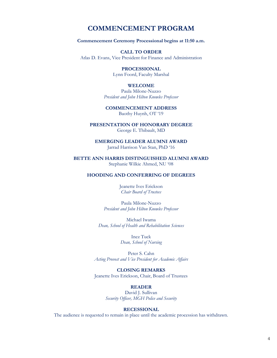### **COMMENCEMENT PROGRAM**

**Commencement Ceremony Processional begins at 11:50 a.m.**

### **CALL TO ORDER**

Atlas D. Evans, Vice President for Finance and Administration

### **PROCESSIONAL**

Lynn Foord, Faculty Marshal

### **WELCOME**

Paula Milone-Nuzzo *President and John Hilton Knowles Professor*

### **COMMENCEMENT ADDRESS** Baothy Huynh, OT '19

**PRESENTATION OF HONORARY DEGREE** George E. Thibault, MD

**EMERGING LEADER ALUMNI AWARD**

Jarrad Harrison Van Stan, PhD '16

**BETTE ANN HARRIS DISTINGUISHED ALUMNI AWARD**

Stephanie Wilkie Ahmed, NU '08

### **HOODING AND CONFERRING OF DEGREES**

Jeanette Ives Erickson *Chair Board of Trustees*

Paula Milone-Nuzzo *President and John Hilton Knowles Professor*

Michael Iwama *Dean, School of Health and Rehabilitation Sciences*

> Inez Tuck *Dean, School of Nursing*

Peter S. Cahn *Acting Provost and Vice President for Academic Affairs*

**CLOSING REMARKS** Jeanette Ives Erickson, Chair, Board of Trustees

### **READER**

David J. Sullivan *Security Officer, MGH Police and Security*

#### **RECESSIONAL**

The audience is requested to remain in place until the academic procession has withdrawn.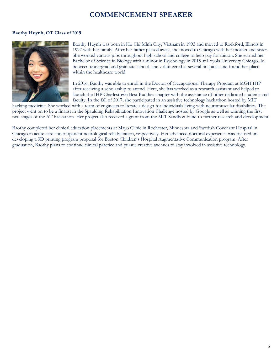### **COMMENCEMENT SPEAKER**

#### **Baothy Huynh, OT Class of 2019**



Baothy Huynh was born in Ho Chi Minh City, Vietnam in 1993 and moved to Rockford, Illinois in 1997 with her family. After her father passed away, she moved to Chicago with her mother and sister. She worked various jobs throughout high school and college to help pay for tuition. She earned her Bachelor of Science in Biology with a minor in Psychology in 2015 at Loyola University Chicago. In between undergrad and graduate school, she volunteered at several hospitals and found her place within the healthcare world.

In 2016, Baothy was able to enroll in the Doctor of Occupational Therapy Program at MGH IHP after receiving a scholarship to attend. Here, she has worked as a research assistant and helped to launch the IHP Charlestown Best Buddies chapter with the assistance of other dedicated students and faculty. In the fall of 2017, she participated in an assistive technology hackathon hosted by MIT

hacking medicine. She worked with a team of engineers to iterate a design for individuals living with neuromuscular disabilities. The project went on to be a finalist in the Spaulding Rehabilitation Innovation Challenge hosted by Google as well as winning the first two stages of the AT hackathon. Her project also received a grant from the MIT Sandbox Fund to further research and development.

Baothy completed her clinical education placements at Mayo Clinic in Rochester, Minnesota and Swedish Covenant Hospital in Chicago in acute care and outpatient neurological rehabilitation, respectively. Her advanced doctoral experience was focused on developing a 3D printing program proposal for Boston Children's Hospital Augmentative Communication program. After graduation, Baothy plans to continue clinical practice and pursue creative avenues to stay involved in assistive technology.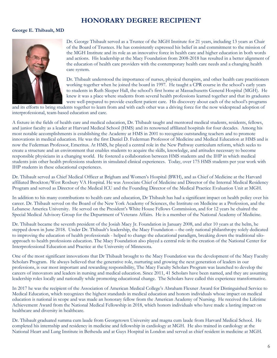### **HONORARY DEGREE RECIPIENT**

### **George E. Thibault, MD**



Dr. George Thibault served as a Trustee of the MGH Institute for 21 years, including 13 years as Chair of the Board of Trustees. He has consistently expressed his belief in and commitment to the mission of the MGH Institute and its role as an innovative force in health care and higher education in both words and actions. His leadership at the Macy Foundation from 2008-2018 has resulted in a better alignment of the education of health care providers with the contemporary health care needs and a changing health care system.

Dr. Thibault understood the importance of nurses, physical therapists, and other health care practitioners working together when he joined the board in 1997. He taught a CPR course in the school's early years to students in Ruth Sleeper Hall, the school's first home at Massachusetts General Hospital (MGH). He knew it was a place where students from several health professions learned together and that its graduates were well-prepared to provide excellent patient care. His discovery about each of the school's programs

and its efforts to bring students together to learn from and with each other was a driving force for the now widespread adoption of interprofessional, team-based education and care.

A fixture in the fields of health care and medical education, Dr. Thibault taught and mentored medical students, residents, fellows, and junior faculty as a leader at Harvard Medical School (HMS) and its renowned affiliated hospitals for four decades. Among his most notable accomplishments is establishing the Academy at HMS in 2001 to recognize outstanding teachers and to promote innovations in medical education. He was the first Daniel D. Federman Professor of Medicine and Medical Education at HMS and is now the Federman Professor, Emeritus. At HMS, he played a central role in the New Pathway curriculum reform, which seeks to create a structure and an environment that enables students to acquire the skills, knowledge, and attitudes necessary to become responsible physicians in a changing world. He fostered a collaboration between HMS students and the IHP in which medical students join other health professions students in simulated clinical experiences. Today, over 175 HMS students per year work with IHP students in these educational experiences.

Dr. Thibault served as Chief Medical Officer at Brigham and Women's Hospital (BWH), and as Chief of Medicine at the Harvard affiliated Brockton/West Roxbury VA Hospital. He was Associate Chief of Medicine and Director of the Internal Medical Residency Program and served as Director of the Medical ICU and the Founding Director of the Medical Practice Evaluation Unit at MGH.

In addition to his many contributions to health care and education, Dr Thibault has had a significant impact on health policy over his career. Dr. Thibault served on the Board of the New York Academy of Sciences, the Institute on Medicine as a Profession, and the Lebanese America University. He served on the President's White House Fellows Commission, and for 12 years he chaired the Special Medical Advisory Group for the Department of Veterans Affairs. He is a member of the National Academy of Medicine.

Dr. Thibault became the seventh president of the Josiah Macy Jr. Foundation in January 2008, and after 10 years at the helm, he stepped down in June 2018. Under Dr. Thibault's leadership, the Macy Foundation – the only national philanthropy solely dedicated to improving the education of health professionals - helped to change the educational paradigm, breaking down the traditional siloapproach to health professions education. The Macy Foundation also played a central role in the creation of the National Center for Interprofessional Education and Practice at the University of Minnesota.

One of the most significant innovations that Dr Thibault brought to the Macy Foundation was the development of the Macy Faculty Scholars Program. He always believed that the generative role, nurturing and growing the next generation of leaders in our professions, is our most important and rewarding responsibility, The Macy Faculty Scholars Program was launched to develop the careers of innovators and leaders in nursing and medical education. Since 2011, 41 Scholars have been named, and they are assuming leadership roles locally and nationally while promoting educational change. The Scholars have called this experience transformative.

In 2017 he was the recipient of the Association of American Medical College's Abraham Flexner Award for Distinguished Service to Medical Education, which recognizes the highest standards in medical education and honors individuals whose impact on medical education is national in scope and was made an honorary fellow from the American Academy of Nursing. He received the Lifetime Achievement Award from the National Medical Fellowship in 2018, which honors individuals who have made a lasting impact on healthcare and diversity in healthcare.

Dr. Thibault graduated summa cum laude from Georgetown University and magna cum laude from Harvard Medical School. He completed his internship and residency in medicine and fellowship in cardiology at MGH. He also trained in cardiology at the National Heart and Lung Institute in Bethesda and at Guys Hospital in London and served as chief resident in medicine at MGH.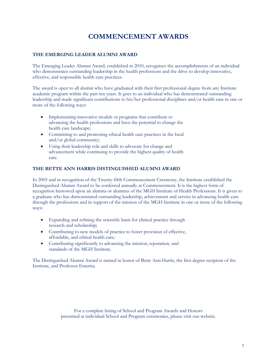### **COMMENCEMENT AWARDS**

### **THE EMERGING LEADER ALUMNI AWARD**

The Emerging Leader Alumni Award, established in 2010, recognizes the accomplishments of an individual who demonstrates outstanding leadership in the health professions and the drive to develop innovative, effective, and responsible health care practices.

The award is open to all alumni who have graduated with their first professional degree from any Institute academic program within the past ten years. It goes to an individual who has demonstrated outstanding leadership and made significant contributions to his/her professional disciplines and/or health care in one or more of the following ways:

- Implementing innovative models or programs that contribute to advancing the health professions and have the potential to change the health care landscape;
- Committing to and promoting ethical health care practices in the local and/or global community;
- Using their leadership role and skills to advocate for change and advancement while continuing to provide the highest quality of health care.

### **THE BETTE ANN HARRIS DISTINGUISHED ALUMNI AWARD**

In 2005 and in recognition of the Twenty-fifth Commencement Ceremony, the Institute established the Distinguished Alumni Award to be conferred annually at Commencement. It is the highest form of recognition bestowed upon an alumna or alumnus of the MGH Institute of Health Professions. It is given to a graduate who has demonstrated outstanding leadership, achievement and service in advancing health care through the professions and in support of the mission of the MGH Institute in one or more of the following ways:

- Expanding and refining the scientific basis for clinical practice through research and scholarship;
- Contributing to new models of practice to foster provision of effective, affordable, and ethical health care;
- Contributing significantly to advancing the mission, reputation, and standards of the MGH Institute.

The Distinguished Alumni Award is named in honor of Bette Ann Harris, the first degree recipient of the Institute, and Professor Emerita.

> For a complete listing of School and Program Awards and Honors presented at individual School and Program ceremonies, please visit our website.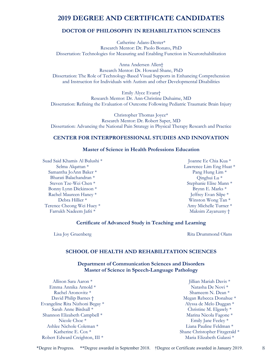### **2019 DEGREE AND CERTIFICATE CANDIDATES**

### **DOCTOR OF PHILOSOPHY IN REHABILITATION SCIENCES**

Catherine Adans-Dester\* Research Mentor: Dr. Paolo Bonato, PhD Dissertation: Technologies for Measuring and Enabling Function in Neurorehabilitation

Anna Andersen Allen† Research Mentor: Dr. Howard Shane, PhD Dissertation: The Role of Technology-Based Visual Supports in Enhancing Comprehension and Instruction for Individuals with Autism and other Developmental Disabilities

Emily Alyce Evans† Research Mentor: Dr. Ann-Christine Duhaime, MD Dissertation: Refining the Evaluation of Outcome Following Pediatric Traumatic Brain Injury

Christopher Thomas Joyce\* Research Mentor: Dr. Robert Saper, MD Dissertation: Advancing the National Pain Strategy in Physical Therapy Research and Practice

### **CENTER FOR INTERPROFESSIONAL STUDIES AND INNOVATION**

### **Master of Science in Health Professions Education**

Suad Said Khamis Al Bulushi \* Selma Alqattan \* Samantha JoAnn Baker \* Bharati Balachandran \* Steven Tze-Wei Chen \* Bonny Lynn Dickinson \* Rachel Maureen Haney \* Debra Hillier \* Terence Cheong Wei Huey \* Farrukh Nadeem Jafri \*

Joanne Ee Chia Kua \* Lawrence Lim Eng Huat \* Pang Hung Lim \* Qinghui Lu \* Stephanie Elise Mann \* Brynn E. Marks \* Jeffrey Evan Silpe \* Winston Wong Tan \* Amy Michelle Turner \* Maksim Zayaruzny †

#### **Certificate of Advanced Study in Teaching and Learning**

Lisa Joy Gruenberg **Rita Drummond Olans** 

#### **SCHOOL OF HEALTH AND REHABILITATION SCIENCES**

**Department of Communication Sciences and Disorders Master of Science in Speech-Language Pathology**

Allison Sara Aaron \* Emma Annika Arnold \* Rachel Aronovitz \* David Philip Barnes † Evangeline Rita Nizhoni Begay \* Sarah Anne Birdsall \* Shannon Elizabeth Campbell \* Nicole Choe \* Ashlee Nichole Coleman \* Katherine E. Cox \* Robert Edward Creighton, III \*

Jillian Mariah Davis \* Natasha De Novi \* Shameem N. Dean \* Megan Rebecca Donahue \* Alyssa de Melo Duggan \* Christine M. Elgawly \* Marina Nicola Fagone \* Emily Jane Feeley \* Liana Pauline Feldman \* Shane Christopher Fitzgerald \* Maria Elizabeth Galassi \*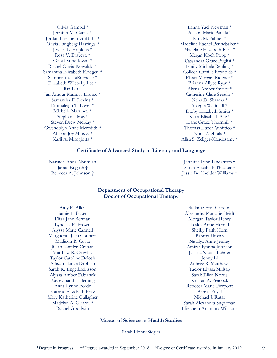Olivia Gampel \* Jennifer M. Garcia \* Jordan Elizabeth Griffiths \* Olivia Langberg Hastings \* Jessica L. Hopkins \* Rosa V. Ilyayeva \* Gina Lynne Iozzo \* Rachel Olivia Kowalski \* Samantha Elizabeth Kridgen \* Sammantha LaRochelle \* Elizabeth Wilcosky Lee \* Rui Liu \* Jan Amour Mariñas Llorico \* Samantha E. Lovins \* Emmaleigh T. Loyer \* Michelle Martinez \* Stephanie May \* Steven Drew McKay \* Gwendolyn Anne Meredith \* Allison Joy Minsky \* Karli A. Miroglotta \*

Ilanna Yael Newman \* Allison Maria Padilla \* Kira M. Palmer \* Madeline Rachel Pennebaker \* Madeline Elizabeth Piela \* Megan Koch Popp \* Cassandra Grace Puglisi \* Emily Michele Reuling \* Colleen Camille Reynolds \* Elysia Morgan Ridener \* Brianna Allyce Ryan \* Alyssa Amber Savery \* Catherine Clare Serzan \* Neha D. Sharma \* Maggie W. Small \* Darby Elizabeth Smith \* Katia Elisabeth Stie \* Liane Grace Thornhill \* Thomas Hazen Whittico \* Noor Zaghlula \* Alisa S. Zeliger-Kandasamy \*

#### **Certificate of Advanced Study in Literacy and Language**

Narineh Anna Abrimian Jamie English † Rebecca A. Johnson †

Jennifer Lynn Lindstrom † Sarah Elizabeth Theaker † Jessie Burkholder Williams †

#### **Department of Occupational Therapy Doctor of Occupational Therapy**

Amy E. Allen Jamie L. Baker Eliza Jane Berman Lyndsay E. Brown Alyssa Marie Carmell Marguerite Jean Conners Madison R. Costa Jillian Katelyn Crehan Matthew R. Crowley Taylor Caroline Delosh Allison Hance Drobish Sarah K. Engelbrektsson Alyssa Amber Fabianek Kayley Sandra Fleming Anna Lynne Forde Katrina Elizabeth Fritz Mary Katherine Gallagher Madelyn A. Girardi \* Rachel Goodwin

Stefanie Erin Gordon Alexandra Marjorie Heidt Morgan Taylor Henry Lesley Anne Herold Shelby Faith Horn Baothy Huynh Natalya Anne Jenney Amirra Iyonna Johnson Jessica Nicole Lehner Jenny Li Aubrey R. Matthews Taelor Elyssa Millsap Sarah Ellen Norris Kristen A. Peacock Rebecca Marie Pierpont Ashna Priyal Michael J. Rutar Sarah Alexandra Sugarman Elizabeth Araminta Williams

### **Master of Science in Health Studies**

Sarah Plonty Siegler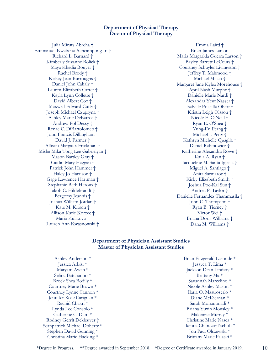### **Department of Physical Therapy Doctor of Physical Therapy**

Julia Miruts Abreha † Emmanuel Kwabena Acheampong Jr. † Richard L. Barnard † Kimberly Suzanne Bolick † Maya Khadia Bouyer † Rachel Brody † Kelsey Jean Burroughs † Daniel John Cahaly † Lauren Elizabeth Carter † Kayla Lynn Collette † David Albert Cox † Maxwell Edward Cutty † Joseph Michael Czupryna † Ashley Marie DeBarros † Andrew Pol Dessy † Renae C. DiBartolomeo † John Francis Dillingham † David J. Farmer † Allison Margaux Frickman † Misha Mika Tong Lee Gabrielyan † Mason Bartley Gray † Caitlin Mary Haggan † Patrick John Hammer † Haley Jo Harrison † Gage Lawrence Hartman † Stephanie Beth Heroux † Jakob C. Hildebrandt † Bergomy Jeannis † Joshua William Jordan † Kate M. Kirson † Allison Katie Korzec † Maria Kulikova † Lauren Ann Kwasnowski †

Emma Laird † Brian James Larson Maria Margarida Guerra Larson † Bayley Barrett LeCours † Courtney Schuyler Livingston † Jeffrey T. Mahmood † Michael Micco † Margaret Jane Kylea Morehouse † April Nash Murphy † Danielle Marie Nardi † Alexandra Yeut Nasser † Isabelle Priscilla Obert † Kristin Leigh Olsson † Nicole E. O'Neill † Ryan E. O'Shea † Yung-En Perng † Michael J. Petty † Kathryn Michelle Quaglia † Daniel Rabinowicz † Katherine Alexandra Rowe † Kaila A. Ryan † Jacqueline M. Santa Iglesia † Miguel A. Santiago † Anita Sarmaroy † Kirby Elizabeth Smith † Joshua Poe-Kai Sun † Andrea P. Taylor † Danielle Fernandez Thammasila † John C. Thompson † Ryan B. Tierney † Victor Wei † Briana Doris Williams † Dana M. Williams †

### **Department of Physician Assistant Studies Master of Physician Assistant Studies**

Ashley Anderson \* Jessica Arbisi \* Maryam Awan \* Selina Batchanoo \* Brock Shea Bodily \* Courtney Marie Brown \* Courtney Lynne Cannon \* Jennifer Rose Carignan \* Rachid Chakri \* Lynda Lee Consolo \* Catherine C. Dam \* Rodney Gerrit Dekleuver † Seanpatrick Michael Doherty \* Stephen David Gunning \* Christina Marie Hacking \*

Brian Fitzgerald Lasonde \* Jessyca T. Lima \* Jackson Dean Lindsay \* Brittany Ma \* Savannah Marcelino \* Nicole Ashley Mason \* Ilaria O. Mastroserio \* Diane McKiernan \* Sarah Mohammadi \* Briana Yuxin Mousley \* Makenzie Murray \* Christine Marie Nasca \* Ikenna Chibuzor Neboh \* Jon Paul Olszewski \* Brittany Marie Palaski \*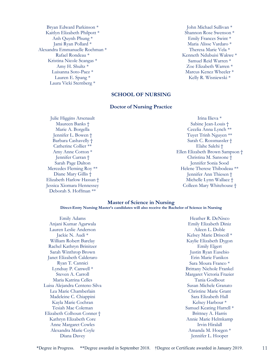Bryan Edward Parkinson \* Kaitlyn Elizabeth Philpott \* Anh Quynh Phung \* Jami Ryan Pollard \* Alexandra Emmanuelle Rochman \* Rafael Rondeau \* Kristina Nicole Scangas \* Amy H. Shultz \* Luisanna Soto-Paez \* Lauren E. Spang \* Laura Vicki Sternberg \*

John Michael Sullivan \* Shannon Rose Swenson \* Emily Frances Swint \* Maria Alisse Vardaro \* Theresa Marie Vela \* Kenneth Ndubuisi Wakwe \* Samuel Reid Warren \* Zoe Elizabeth Warren \* Marcus Kenez Wheeler \* Kelly R. Wisniewski \*

### **SCHOOL OF NURSING**

#### **Doctor of Nursing Practice**

Julie Higgins Arsenault Maureen Banks † Marie A. Borgella Jennifer L. Bowen † Barbara Cashavelly † Catherine Collier \*\* Amy Anne Cotton \* Jennifer Curran † Sarah Page Dalton Mercedes Fleming Roy \*\* Diane Mary Gillis † Elizabeth Harlow Hassan † Jessica Xiomara Hennessey Deborah S. Hoffman \*\*

Irina Ilieva \* Sabine Jean-Louis † Cecelia Anna Lynch \*\* Tuyet Trinh Nguyen \*\* Sarah C. Rossmassler † Elahe Salehi † Ellen Elizabeth Brown Sampson † Christina M. Sansone † Jennifer Sonia Sood Helene Therese Thibodeau \*\* Jennifer Ann Thiesen † Michelle Lynn Wallace † Colleen Mary Whitehouse †

#### **Master of Science in Nursing Direct-Entry Nursing Master's candidates will also receive the Bachelor of Science in Nursing**

Emily Adams Anjani Kumar Agarwala Lauren Leslie Anderson Jackie N. Audi \* William Robert Barclay Rachel Kathryn Brinitzer Sarah Winthrop Brown Janet Elizabeth Calderaro Ryan T. Cannici Lyndsay P. Canwell \* Steven A. Carroll Maria Katrina Celles Luisa Alejandra Centeno Silva Lea Marie Chamberlain Madeleine C. Chiappini Kayla Marie Cochran Tesiah Mae Coleman Elizabeth Colhoun Conner † Kathryn Elizabeth Core Anne Margaret Cowles Alexandra Marie Coyle Diana Davey

Heather R. DeNisco Emily Elizabeth Diniz Aileen L. Doble Kelsey Marie Driscoll \* Kaylie Elizabeth Dygon Emily Elgert Justin Ryan Eusebio Erin Marie Fanikos Sara Moura Franco \* Brittany Nichole Frankel Margaret Victoria Frazier Tania Godbout Susan Michele Granato Christine Marie Grant Sara Elizabeth Hall Kelsey Harbour \* Samuel Keating Harrell \* Brittney A. Harris Annie Marie Helmkamp Irvin Hiralall Amanda M. Hoegen \* Jennifer L. Hooper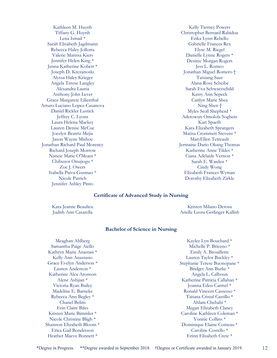Kathleen M. Huynh Tiffany G. Huynh Lena Ismail \* Sarah Elisabeth Jagdmann Rebecca Haley Jollotta Valerie Marissa Kiers Jennifer Helen King \* Jenna Katherine Kobett \* Joseph D. Krezanoski Alyssa Haley Krieger Angela Terese Langley Alexandra Lauria Anthony John Lever Grace Margarete Lilienthal Arturo Luciano Lopez-Casanova Daniel Rickler Lustick Jeffrey C. Lyons Laura Helena Mackey Lauren Denise McCue Jocelyn Beatriz Mejia Jason Wayne Mishoe Jonathan Richard Paul Morency Richard Joseph Morrow Nancie Marie O'Meara \* Chibuzor Onujiogu \* Zoe J. Owers Isabella Paiva-Gusmao \* Nicole Patrich Jennifer Ashley Pinto

Kelly Tierney Powers Christopher Bernard Rabidou Erika Lynn Rebello Gabrielle Frances Rex Elyse M. Riegel Danielle Lynne Rogers \* Desiree Morgan Rogers Jess L. Romeo Jonathan Miguel Romero † Taixiang Saur Alana Rose Scheibe Sarah Eva Schwarzschild Kerry Ann Sepeck Caitlyn Marie Shea Ning Shen † Myles Stoll Shepherd \* Adetowun Omolola Sogbein Kari Spaeth Kara Elizabeth Sprangers Marisa Crommett Stevens \* MaryEllen Tetreault Jermaine Dario Okang Thomas Katherine Anne Tildes \* Ciana Adelaide Vernon \* Sarah E. Warden \* Cindy Wong Elizabeth Frances Wyman Dorothy Elizabeth Zirkle

#### **Certificate of Advanced Study in Nursing**

Kara Jeanne Beaulieu Judith Ann Casarella

Kristen Milano Derosa Arielle Leora Gerlinger Kallish

#### **Bachelor of Science in Nursing**

Meaghan Ahlberg Samantha Paige Aiello Kathryn Marie Anastasi \* Kelly Ann Anastasio Grace Evelyn Anderson \* Lauren Anderson \* Katherine Alex Aronson Alene Ashjian \* Victoria Ryan Bailey Madeline E. Barneke Rebecca Ann Begley \* Chanel Belim Erin Claire Biles Kristen Marie Bimmler \* Nicole Christine Bligh \* Shannon Elizabeth Bloom \* Erica Gail Bondesson Heather Maeve Bonnett \*

Kaylee Lyn Bouchard \* Michelle P. Briceno \* Emily A. Brouillette Lauren Taylor Buckley \* Stephanie Terese Buonopane \* Bridget Ann Burke \* Angela L. Calhoun Katherine Patricia Callahan \* Joanna Eden Carmel \* Ronald Vincent Cassesso \* Tatiana Cristal Castillo \* Ahlam Chehabi \* Megan Elizabeth Clancy Caroline Kathleen Coleman \* Yonnie Collins \* Dominique Elaine Comeau \* Caroline Costello \* Erinn Elisabeth Crete \*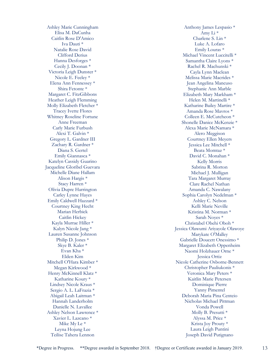Ashley Marie Cunningham Elisa M. DaCunha Caitlin Rose D'Amico Iva Dauti \* Natalie Rose David Clifford Derius Hanna Desforges \* Cecily J. Doonan \* Victoria Leigh Dunster \* Nicole E. Feeley \* Elena Ann Fennessey \* Shira Fetonte \* Margaret C. FitzGibbons Heather Leigh Flemming Molly Elizabeth Fletcher \* Tracey Ivette Flores Whitney Roseline Fortune Anne Freeman Carly Marie Furbush Alexi T. Galvin \* Gregory L. Gardner III Zachary R. Gardner \* Diana S. Gertel Emily Giannasca \* Katelyn Cassidy Guarino Jacqueline Gloribel Guevara Michelle Diane Hallam Alison Hargis \* Stacy Harren \* Olivia Dupre Harrington Carley Lynne Hayes Emily Caldwell Hazzard \* Courtney King Hecht Marian Herbick Caitlin Hickey Kayla Murrae Hiller \* Kalyn Nicole Jang \* Lauren Susanne Johnson Philip D. Jones \* Skye B. Kaler \* Evan Kha \* Elden Kim Mitchell O'Hara Kimber \* Megan Kirkwood \* Henry McKinnell Klatz \* Katharine Koury \* Lindsey Nicole Kraus \* Sergio A. L. LaFrazia \* Abigail Leah Laitman \* Hannah Landerholm Danielle N. Lavallee Ashley Nelson Lawrence \* Xavier L. Lazcano \* Mike My Le \* Leyna Hojung Lee Teilise Tahera Lennon

Anthony James Lespasio \* Amy Li \* Charlene S. Lin \* Luke A. Lofaro Emily Louras \* Michael Vincent Luccitelli \* Samantha Claire Lyons \* Rachel R. Machunski \* Cayla Lynn Maclean Melissa Marie Macrides \* Jean Angelina Mancuso Stephanie Ann Marble Elizabeth Mary Markham \* Helen M. Martinelli \* Katharine Bailey Martire \* Amanda Rose Mavros \* Colleen E. McCutcheon \* Shonelle Danice McKenzie \* Alexa Marie McNamara \* Alero Meggison Courtney Ellen Meyers Jessica Lee Mitchell \* Beata Momtaz \* David C. Monahan \* Kelly Morris Sabrina R. Morton Michael J. Mulligan Tara Margaret Murray Clare Rachel Nathan Amanda C. Nawalany Sophia Carolyn Nedelman \* Ashley C. Nelson Kelli Marie Neville Kristina M. Norman \* Sarah Noyes \* Christabel Obehi Oboh \* Jessica Olawumi Ariyayole Olawoye Marykate O'Malley Gabrielle Doucett Onessimo \* Margaret Elizabeth Oppenheim Naomi Holzhauer Orne \* Jessica Ortiz Nicole Catherine Osborne-Bennett Christopher Pauliukonis \* Veronica Mary Peters \* Kaitlin Marie Petersen Dominique Pierre Yanny Pimentel Deborah Maria Pina Centeio Nicholas Michael Pittman Vonda Powell Molly B. Presutti \* Alyssa M. Price \* Krista Joy Prouty \* Laura Leigh Puntini Joseph David Putignano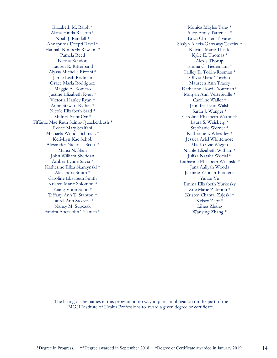Elizabeth M. Ralph \* Alana Hinda Ralston \* Noah J. Randall \* Annapurna Deepti Ravel \* Hannah Kimberly Rawson \* Pamela Reed Karina Rendon Lauren R. Ritterband Alyssa Michelle Rizzini \* Jamie Leah Rodman Grace Maria Rodriguez Maggie A. Romero Justine Elizabeth Ryan \* Victoria Hanley Ryan \* Anne Stewart Ryther \* Nicole Elizabeth Saad \* Mulrica Saint Cyr \* Tiffanie Mae Ruth Sainte-Quackenbush \* Renee Mary Scalfani Michaela Woods Schmalz \* Keri-Lyn Kae Schob Alexander Nicholas Scott \* Mansi N. Shah John William Sheridan Amber Lynne Silvia \* Katherine Eliza Skarzynski \* Alexandra Smith \* Caroline Elizabeth Smith Kristen Marie Solomon \* Kiang Voon Soon \* Tiffany Ann T. Stanton \* Laurel Ann Steeves \* Nancy M. Supczak Sandra Abensohn Talanian \*

Monica Maylee Tang \* Alice Emily Tattersall \* Erica Christen Tavares Shalyn Alexis-Garraway Texeira \* Katrina Marie Thistle Kylie E. Thomas \* Alexis Thorup Emma C. Tiedemann \* Cailley E. Tobin-Rosman \* Olivia Marie Torchio Maureen Ann Tracey Katherine Lloyd Troutman \* Morgan Ann Vertefeuille \* Caroline Waller \* Jennifer Lynn Walsh Sarah J. Wanger \* Caroline Elizabeth Warnock Laura S. Weisberg \* Stephanie Werner \* Katherine J. Wheatley \* Jessica Ariel Whittemore MacKenzie Wiggin Nicole Elizabeth Witham \* Julika Natalia Wocial \* Katharine Elizabeth Wolinski \* Jana Aaliyah Woods Jasmine Yeboah-Boahene Yanan Yu Emma Elizabeth Yurkosky Zoe Marie Zaferiou \* Kristen Chantal Zajeski \* Kelsey Zepf \* Lihua Zhang Wanying Zhang \*

The listing of the names in this program in no way implies an obligation on the part of the MGH Institute of Health Professions to award a given degree or certificate.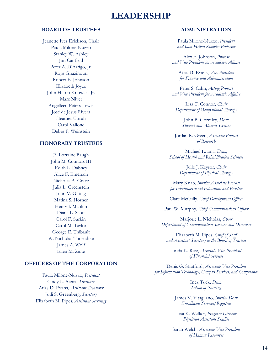### **LEADERSHIP**

### **BOARD OF TRUSTEES**

Jeanette Ives Erickson, Chair Paula Milone-Nuzzo Stanley W. Ashley Jim Canfield Peter A. D'Arrigo, Jr. Roya Ghazinouri Robert E. Johnson Elizabeth Joyce John Hilton Knowles, Jr. Marc Nivet Angelleen Peters-Lewis José de Jesus Rivera Heather Unruh Carol Vallone Debra F. Weinstein

#### **HONORARY TRUSTEES**

E. Lorraine Baugh John M. Connors III Edith L. Dabney Alice F. Emerson Nicholas A. Grace Julia L. Greenstein John V. Guttag Matina S. Horner Henry J. Mankin Diana L. Scott Carol F. Surkin Carol M. Taylor George E. Thibault W. Nicholas Thorndike James A. Wolf Ellen M. Zane

### **OFFICERS OF THE CORPORATION**

Paula Milone-Nuzzo, *President* Cindy L. Aiena, *Treasurer*  Atlas D. Evans, *Assistant Treasurer* Judi S. Greenberg, *Secretary* Elizabeth M. Pipes, *Assistant Secretary*

### **ADMINISTRATION**

Paula Milone-Nuzzo, *President and John Hilton Knowles Professor*

Alex F. Johnson, *Provost and Vice President for Academic Affairs*

Atlas D. Evans, *Vice President for Finance and Administration*

Peter S. Cahn, *Acting Provost and Vice President for Academic Affairs*

Lisa T. Connor, *Chair Department of Occupational Therapy*

> John B. Gormley, *Dean Student and Alumni Services*

Jordan R. Green, *Associate Provost of Research*

Michael Iwama, *Dean, School of Health and Rehabilitation Sciences*

> Julie J. Keysor, *Chair Department of Physical Therapy*

Mary Knab, *Interim Associate Provost for Interprofessional Education and Practice*

Clare McCully, *Chief Development Officer*

Paul W. Murphy, *Chief Communications Officer*

Marjorie L. Nicholas, *Chair Department of Communication Sciences and Disorders*

Elizabeth M. Pipes, *Chief of Staff and Assistant Secretary to the Board of Trustees*

Linda K. Rice, *Associate Vice President of Financial Services*

Denis G. Stratford, *Associate Vice President for Information Technology, Campus Services, and Compliance*

> Inez Tuck, *Dean, School of Nursing*

James V. Vitagliano*, Interim Dean Enrollment Services/Registrar*

Lisa K. Walker, *Program Director Physician Assistant Studies*

Sarah Welch, *Associate Vice President of Human Resources*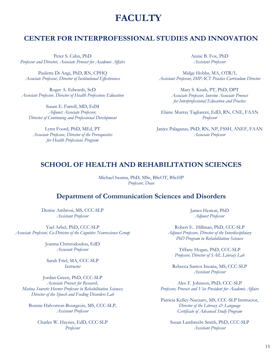## **FACULTY**

### **CENTER FOR INTERPROFESSIONAL STUDIES AND INNOVATION**

Peter S. Cahn, PhD *Professor and Director, Associate Provost for Academic Affairs*

Paulette Di Angi, PhD, RN, CPHQ *Associate Professor, Director of Institutional Effectiveness*

Roger A. Edwards, ScD *Associate Professor, Director of Health Professions Education*

Susan E. Farrell, MD, EdM *Adjunct Associate Professor, Director of Continuing and Professional Development*

Lynn Foord, PhD, MEd, PT *Associate Professor, Director of the Prerequisites for Health Professions Program*

Annie B. Fox, PhD *Assistant Professor*

Midge Hobbs, MA, OTR/L *Assistant Professor, IMPACT Practice Curriculum Director*

> Mary S. Knab, PT, PhD, DPT *Associate Professor, Interim Associate Provost for Interprofessional Education and Practice*

Elaine Murray Tagliareni, EdD, RN, CNE, FAAN *Professor*

Janice Palaganas, PhD, RN, NP, FSSH, ANEF, FAAN *Associate Professor*

### **SCHOOL OF HEALTH AND REHABILITATION SCIENCES**

Michael Iwama, PhD, MSc, BScOT, BScHP *Professor, Dean*

### **Department of Communication Sciences and Disorders**

Denise Ambrosi, MS, CCC-SLP *Assistant Professor*

Yael Arbel, PhD, CCC-SLP *Associate Professor, Co-Director of the Cognitive Neuroscience Group*

> Joanna Christodoulou, EdD *Associate Professor*

Sarah Friel, MA, CCC-SLP *Instructor*

Jordan Green, PhD, CCC-SLP *Associate Provost for Research, Matina Souretis Horner Professor in Rehabilitation Sciences; Director of the Speech and Feeding Disorders Lab*

Bonnie Halvorson-Bourgeois, MS, CCC-SLP, *Assistant Professor*

Charles W. Haynes, EdD, CCC-SLP *Professor*

James Heaton, PhD *Adjunct Professor*

Robert E. Hillman, PhD, CCC-SLP *Adjunct Professor, Director of the Interdisciplinary PhD Program in Rehabilitation Sciences*

Tiffany Hogan, PhD, CCC-SLP *Professor, Director of SAiL Literacy Lab*

Rebecca Santos Inzana, MS, CCC-SLP *Assistant Professor*

Alex F. Johnson, PhD, CCC-SLP *Professor, Provost and Vice President for Academic Affairs*

Patricia Kelley-Nazzaro, MS, CCC-SLP Instructor, *Director of the Literacy & Language Certificate of Advanced Study Program*

Susan Lambrecht Smith, PhD, CCC-SLP *Assistant Professor*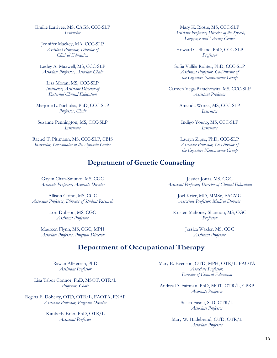Emilie Larrivee, MS, CAGS, CCC-SLP *Instructor*

Jennifer Mackey, MA, CCC-SLP *Assistant Professor, Director of Clinical Education*

Lesley A. Maxwell, MS, CCC-SLP *Associate Professor, Associate Chair*

Lisa Moran, MS, CCC-SLP *Instructor, Assistant Director of External Clinical Education*

Marjorie L. Nicholas, PhD, CCC-SLP *Professor, Chair*

Suzanne Pennington, MS, CCC-SLP *Instructor*

Rachel T. Pittmann, MS, CCC-SLP, CBIS *Instructor, Coordinator of the Aphasia Center*

Mary K. Riotte, MS, CCC-SLP *Assistant Professor, Director of the Speech, Language and Literacy Center*

Howard C. Shane, PhD, CCC-SLP *Professor*

Sofia Vallila Rohter, PhD, CCC-SLP *Assistant Professor, Co-Director of the Cognitive Neuroscience Group*

Carmen Vega-Barachowitz, MS, CCC-SLP *Assistant Professor*

> Amanda Worek, MS, CCC-SLP *Instructor*

Indigo Young, MS, CCC-SLP *Instructor*

Lauryn Zipse, PhD, CCC-SLP *Associate Professor, Co-Director of the Cognitive Neuroscience Group*

### **Department of Genetic Counseling**

Gayun Chan-Smutko, MS, CGC *Associate Professor, Associate Director*

Allison Cirino, MS, CGC *Associate Professor, Director of Student Research*

> Lori Dobson, MS, CGC *Assistant Professor*

Maureen Flynn, MS, CGC, MPH *Associate Professor, Program Director*

Jessica Jonas, MS, CGC *Assistant Professor, Director of Clinical Education*

> Joel Krier, MD, MMSc, FACMG *Associate Professor, Medical Director*

Kristen Mahoney Shannon, MS, CGC *Professor*

> Jessica Waxler, MS, CGC *Assistant Professor*

### **Department of Occupational Therapy**

Rawan AlHeresh, PhD *Assistant Professor*

Lisa Tabor Connor, PhD, MSOT, OTR/L *Professor, Chair*

Regina F. Doherty, OTD, OTR/L, FAOTA, FNAP *Associate Professor, Program Director*

> Kimberly Erler, PhD, OTR/L *Assistant Professor*

Mary E. Evenson, OTD, MPH, OTR/L, FAOTA *Associate Professor, Director of Clinical Education*

Andrea D. Fairman, PhD, MOT, OTR/L, CPRP *Associate Professor*

> Susan Fasoli, ScD, OTR/L *Associate Professor*

Mary W. Hildebrand, OTD, OTR/L *Associate Professor*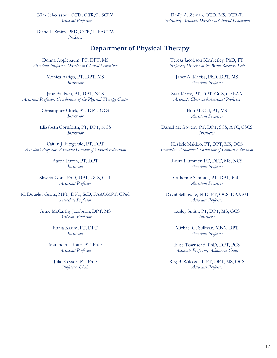Kim Schoessow, OTD, OTR/L, SCLV *Assistant Professor*

Emily A. Zeman, OTD, MS, OTR/L *Instructor, Associate Director of Clinical Education*

Diane L. Smith, PhD, OTR/L, FAOTA *Professor*

### **Department of Physical Therapy**

Donna Applebaum, PT, DPT, MS *Assistant Professor, Director of Clinical Education*

> Monica Arrigo, PT, DPT, MS *Instructor*

Jane Baldwin, PT, DPT, NCS *Assistant Professor, Coordinator of the Physical Therapy Center*

> Christopher Clock, PT, DPT, OCS *Instructor*

Elizabeth Cornforth, PT, DPT, NCS *Instructor*

Caitlin J. Fitzgerald, PT, DPT *Assistant Professor, Associate Director of Clinical Education*

> Aaron Eaton, PT, DPT *Instructor*

Shweta Gore, PhD, DPT, GCS, CLT *Assistant Professor*

K. Douglas Gross, MPT, DPT, ScD, FAAOMPT, CPed *Associate Professor*

> Anne McCarthy Jacobson, DPT, MS *Assistant Professor*

> > Rania Karim, PT, DPT *Instructor*

Maninderjit Kaur, PT, PhD *Assistant Professor*

Julie Keysor, PT, PhD *Professor, Chair*

Teresa Jacobson Kimberley, PhD, PT *Professor, Director of the Brain Recovery Lab*

Janet A. Kneiss, PhD, DPT, MS *Assistant Professor*

Sara Knox, PT, DPT, GCS, CEEAA *Associate Chair and Assistant Professor*

> Bob McCall, PT, MS *Assistant Professor*

Daniel McGovern, PT, DPT, SCS, ATC, CSCS *Instructor*

Keshrie Naidoo, PT, DPT, MS, OCS *Instructor, Academic Coordinator of Clinical Education*

> Laura Plummer, PT, DPT, MS, NCS *Assistant Professor*

Catherine Schmidt, PT, DPT, PhD *Assistant Professor*

David Selkowitz, PhD, PT, OCS, DAAPM *Associate Professor*

> Lesley Smith, PT, DPT, MS, GCS *Instructor*

Michael G. Sullivan, MBA, DPT *Assistant Professor*

Elise Townsend, PhD, DPT, PCS *Associate Professor, Admission Chair*

Reg B. Wilcox III, PT, DPT, MS, OCS *Associate Professor*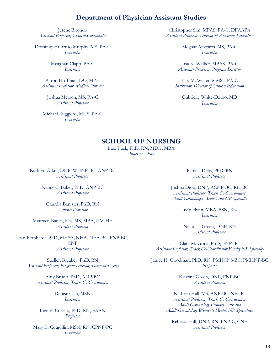### **Department of Physician Assistant Studies**

Jerene Bitondo *Assistant Professor, Clinical Coordinator*

Dominique Caruso Murphy, MS, PA-C *Instructor*

> Meaghan Clapp, PA-C *Instructor*

Aaron Hoffman, DO, MPH *Assistant Professor, Medical Director*

Joshua Merson, MS, PA-C *Assistant Professor*

Michael Ruggiero, MHS, PA-C *Instructor*

Christopher Sim, MPAS, PA-C, DFAAPA *Assistant Professor, Director of Academic Education*

> Meghan Viveiros, MS, PA-C *Instructor*

Lisa K. Walker, MPAS, PA-C *Associate Professor, Program Director*

Lisa M. Waller, MMSc, PA-C *Instructor, Director of Clinical Education*

Gabrielle White-Dzuro, MD *Instructor*

### **SCHOOL OF NURSING**

Inez Tuck, PhD, RN, MDiv, MBA *Professor, Dean*

Kathryn Atkin, DNP, WHNP-BC, ANP-BC *Assistant Professor*

> Nancy C. Baker, PhD, ANP-BC *Assistant Professor*

Gaurdia Banister, PhD, RN *Adjunct Professor*

Maureen Banks, RN, MS, MBA, FACHE *Assistant Professor*

Jean Bernhardt, PhD, MHSA, NHA, NEA-BC, FNP-BC, CNP *Assistant Professor*

Suellen Breakey, PhD, RN *Assistant Professor, Program Director, Generalist Level*

> Amy Bruno, PhD, ANP-BC *Assistant Professor, Track Co-Coordinator*

> > Denise Celli, MSN *Instructor*

Inge B. Corless, PhD, RN, FAAN *Professor*

Mary E. Coughlin, MSN, RN, CPNP-PC *Instructor*

Pamela Delis, PhD, RN *Assistant Professor*

Joshua Dion, DNP, ACNP-BC, RN-BC *Assistant Professor, Track Co-Coordinator Adult Gerontology Acute Care NP Specialty*

> Judy Flynn, MBA, BSN, RN *Instructor*

Nicholas Green, DNP, RN *Assistant Professor*

Clara M. Gona, PhD, FNP-BC *Assistant Professor, Track Co-Coordinator Family NP Specialty*

Janice H. Goodman, PhD, RN, PMHCNS-BC, PMHNP-BC *Professor*

> Kristina Green, DNP, FNP-BC *Assistant Professor*

Kathryn Hall, MS, ANP-BC, NE-BC *Assistant Professor, Track Co-Coordinator Adult-Gerontology Primary Care and Adult-Gerontology Women's Health NP Specialties*

Rebecca Hill, DNP, RN, FNP-C, CNE *Assistant Professor*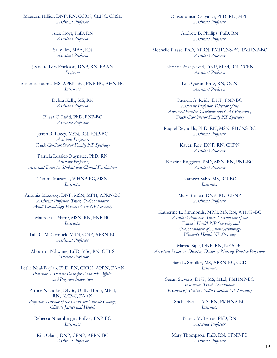Maureen Hillier, DNP, RN, CCRN, CLNC, CHSE *Assistant Professor*

> Alex Hoyt, PhD, RN *Assistant Professor*

Sally Iles, MBA, RN *Assistant Professor*

Jeanette Ives Erickson, DNP, RN, FAAN *Professor*

Susan Jussaume, MS, APRN-BC, FNP-BC, AHN-BC *Instructor*

> Debra Kelly, MS, RN *Assistant Professor*

Elissa C. Ladd, PhD, FNP-BC *Associate Professor*

Jason R. Lucey, MSN, RN, FNP-BC *Assistant Professor, Track Co-Coordinator Family NP Specialty*

Patricia Lussier-Duynstee, PhD, RN *Assistant Professor, Assistant Dean for Student and Clinical Facilitation*

> Tammi Magazzu, WHNP-BC, MSN *Instructor*

Antonia Makosky, DNP, MSN, MPH, APRN-BC *Assistant Professor, Track Co-Coordinator Adult-Gerontology Primary Care NP Specialty*

> Maureen J. Marre, MSN, RN, FNP-BC *Instructor*

Talli C. McCormick, MSN, GNP, APRN-BC *Assistant Professor*

Abraham Ndiwane, EdD, MSc, RN, CHES *Associate Professor*

Leslie Neal-Boylan, PhD, RN, CRRN, APRN, FAAN *Professor, Associate Dean for Academic Affairs and Program Innovation*

Patrice Nicholas, DNSc, DHL (Hon.), MPH, RN, ANP-C, FAAN *Professor, Director of the Center for Climate Change, Climate Justice and Health*

Rebecca Nuernberger, PhD-c, FNP-BC *Instructor*

Rita Olans, DNP, CPNP, APRN-BC *Assistant Professor*

Oluwatonisin Olayinka, PhD, RN, MPH *Assistant Professor*

> Andrew B. Phillips, PhD, RN *Assistant Professor*

Mechelle Plasse, PhD, APRN, PMHCNS-BC, PMHNP-BC *Assistant Professor*

> Eleonor Pusey-Reid, DNP, MEd, RN, CCRN *Assistant Professor*

> > Lisa Quinn, PhD, RN, OCN *Assistant Professor*

Patricia A. Reidy, DNP, FNP-BC *Associate Professor, Director of the Advanced Practice Graduate and CAS Programs, Track Coordinator Family NP Specialty*

Raquel Reynolds, PhD, RN, MSN, PHCNS-BC *Assistant Professor*

> Kaveri Roy, DNP, RN, CHPN *Assistant Professor*

Kristine Ruggiero, PhD, MSN, RN, PNP-BC *Assistant Professor*

> Kathryn Sabo, MS, RN-BC *Instructor*

Mary Samost, DNP, RN, CENP *Assistant Professor*

Katherine E. Simmonds, MPH, MS, RN, WHNP-BC *Assistant Professor, Track Coordinator of the Women's Health NP Specialty and Co-Coordinator of Adult-Gerontology Women's Health NP Specialty*

Margie Sipe, DNP, RN, NEA-BC *Assistant Professor, Director, Doctor of Nursing Practice Programs*

> Sara L. Smoller, MS, APRN-BC, CCD *Instructor*

Susan Stevens, DNP, MS, MEd, PMHNP-BC *Instructor, Track Coordinator Psychiatric/Mental Health Lifespan NP Specialty*

Shelia Swales, MS, RN, PMHNP-BC *Instructor*

> Nancy M. Terres, PhD, RN *Associate Professor*

Mary Thompson, PhD, RN, CPNP-PC *Assistant Professor*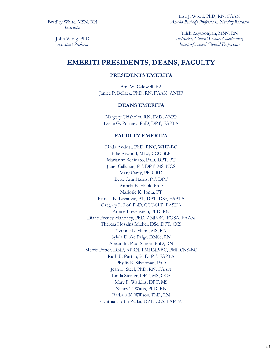Bradley White, MSN, RN *Instructor*

Lisa J. Wood, PhD, RN, FAAN *Amelia Peabody Professor in Nursing Research*

John Wong, PhD *Assistant Professor*

Trish Zeytoonjian, MSN, RN *Instructor, Clinical Faculty Coordinator, Interprofessional Clinical Experience*

### **EMERITI PRESIDENTS, DEANS, FACULTY**

### **PRESIDENTS EMERITA**

Ann W. Caldwell, BA Janice P. Bellack, PhD, RN, FAAN, ANEF

### **DEANS EMERITA**

Margery Chisholm, RN, EdD, ABPP Leslie G. Portney, PhD, DPT, FAPTA

#### **FACULTY EMERITA**

Linda Andrist, PhD, RNC, WHP-BC Julie Atwood, MEd, CCC-SLP Marianne Beninato, PhD, DPT, PT Janet Callahan, PT, DPT, MS, NCS Mary Carey, PhD, RD Bette Ann Harris, PT, DPT Pamela E. Hook, PhD Marjorie K. Ionta, PT Pamela K. Levangie, PT, DPT, DSc, FAPTA Gregory L. Lof, PhD, CCC-SLP, FASHA Arlene Lowenstein, PhD, RN Diane Feeney Mahoney, PhD, ANP-BC, FGSA, FAAN Theresa Hoskins Michel, DSc, DPT, CCS Yvonne L. Munn, MS, RN Sylvia Drake Paige, DNSc, RN Alexandra Paul-Simon, PhD, RN Mertie Potter, DNP, APRN, PMHNP-BC, PMHCNS-BC Ruth B. Purtilo, PhD, PT, FAPTA Phyllis R. Silverman, PhD Jean E. Steel, PhD, RN, FAAN Linda Steiner, DPT, MS, OCS Mary P. Watkins, DPT, MS Nancy T. Watts, PhD, RN Barbara K. Willson, PhD, RN Cynthia Coffin Zadai, DPT, CCS, FAPTA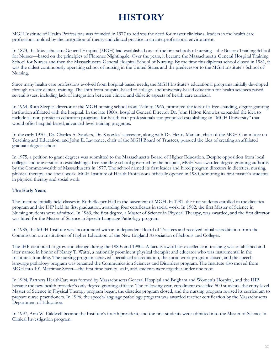## **HISTORY**

MGH Institute of Health Professions was founded in 1977 to address the need for master clinicians, leaders in the health care professions molded by the integration of theory and clinical practice in an interprofessional environment.

In 1873, the Massachusetts General Hospital (MGH) had established one of the first schools of nursing—the Boston Training School for Nurses—based on the principles of Florence Nightingale. Over the years, it became the Massachusetts General Hospital Training School for Nurses and then the Massachusetts General Hospital School of Nursing. By the time this diploma school closed in 1981, it was the oldest continuously operating school of nursing in the United States and the predecessor to the MGH Institute's School of Nursing.

Since many health care professions evolved from hospital-based needs, the MGH Institute's educational programs initially developed through on-site clinical training. The shift from hospital-based to college- and university-based education for health sciences raised several issues, including lack of integration between clinical and didactic aspects of health care curricula.

In 1964, Ruth Sleeper, director of the MGH nursing school from 1946 to 1966, promoted the idea of a free-standing, degree-granting institution affiliated with the hospital. In the late 1960s, hospital General Director Dr. John Hilton Knowles expanded the idea to include all non-physician education programs for health care professionals and proposed establishing an "MGH University" that would offer hospital-based, advanced-level training programs.

In the early 1970s, Dr. Charles A. Sanders, Dr. Knowles' successor, along with Dr. Henry Mankin, chair of the MGH Committee on Teaching and Education, and John E. Lawrence, chair of the MGH Board of Trustees, pursued the idea of creating an affiliated graduate degree school.

In 1975, a petition to grant degrees was submitted to the Massachusetts Board of Higher Education. Despite opposition from local colleges and universities to establishing a free-standing school governed by the hospital, MGH was awarded degree-granting authority by the Commonwealth of Massachusetts in 1977. The school named its first leader and hired program directors in dietetics, nursing, physical therapy, and social work. MGH Institute of Health Professions officially opened in 1980, admitting its first master's students in physical therapy and social work.

### **The Early Years**

The Institute initially held classes in Ruth Sleeper Hall in the basement of MGH. In 1981, the first students enrolled in the dietetics program and the IHP held its first graduation, awarding four certificates in social work. In 1982, the first Master of Science in Nursing students were admitted. In 1983, the first degree, a Master of Science in Physical Therapy, was awarded, and the first director was hired for the Master of Science in Speech-Language Pathology program.

In 1985, the MGH Institute was incorporated with an independent Board of Trustees and received initial accreditation from the Commission on Institutions of Higher Education of the New England Association of Schools and Colleges.

The IHP continued to grow and change during the 1980s and 1990s. A faculty award for excellence in teaching was established and later named in honor of Nancy T. Watts, a nationally prominent physical therapist and educator who was instrumental in the Institute's founding. The nursing program achieved specialized accreditation, the social work program closed, and the speechlanguage pathology program was renamed the Communication Sciences and Disorders program. The Institute also moved from MGH into 101 Merrimac Street—the first time faculty, staff, and students were together under one roof.

In 1994, Partners HealthCare was formed by Massachusetts General Hospital and Brigham and Women's Hospital, and the IHP became the new health provider's only degree-granting affiliate. The following year, enrollment exceeded 500 students, the entry-level Master of Science in Physical Therapy program began, the dietetics program closed, and the nursing program revised its curriculum to prepare nurse practitioners. In 1996, the speech-language pathology program was awarded teacher certification by the Massachusetts Department of Education.

In 1997, Ann W. Caldwell became the Institute's fourth president, and the first students were admitted into the Master of Science in Clinical Investigation program.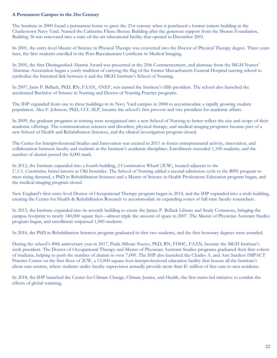### **A Permanent Campus in the 21st Century**

The Institute in 2000 found a permanent home to greet the 21st century when it purchased a former joiners building in the Charlestown Navy Yard. Named the Catherine Filene Shouse Building after the generous support from the Shouse Foundation, Building 36 was renovated into a state-of-the-art educational facility that opened in December 2001.

In 2001, the entry-level Master of Science in Physical Therapy was converted into the Doctor of Physical Therapy degree. Three years later, the first students enrolled in the Post-Baccalaureate Certificate in Medical Imaging.

In 2005, the first Distinguished Alumni Award was presented at the 25th Commencement, and alumnae from the MGH Nurses' Alumnae Association began a yearly tradition of carrying the flag of the former Massachusetts General Hospital nursing school to symbolize the historical link between it and the MGH Institute's School of Nursing.

In 2007, Janis P. Bellack, PhD, RN, FAAN, ANEF, was named the Institute's fifth president. The school also launched the accelerated Bachelor of Science in Nursing and Doctor of Nursing Practice programs.

The IHP expanded from one to three buildings in its Navy Yard campus in 2008 to accommodate a rapidly growing student population. Alex F. Johnson, PhD, CCC-SLP, became the school's first provost and vice president for academic affairs.

In 2009, the graduate programs in nursing were reorganized into a new School of Nursing to better reflect the size and scope of their academic offerings. The communication sciences and disorders, physical therapy, and medical imaging programs became part of a new School of Health and Rehabilitation Sciences, and the clinical investigation program closed.

The Center for Interprofessional Studies and Innovation was created in 2011 to foster entrepreneurial activity, innovation, and collaboration between faculty and students in the Institute's academic disciplines. Enrollment exceeded 1,100 students, and the number of alumni passed the 4,000 mark.

In 2012, the Institute expanded into a fourth building, 2 Constitution Wharf (2CW), located adjacent to the *U.S.S. Constitution*, better known as Old Ironsides. The School of Nursing added a second admission cycle to the BSN program to meet rising demand, a PhD in Rehabilitation Sciences and a Master of Science in Health Professions Education program began, and the medical imaging program closed.

New England's first entry-level Doctor of Occupational Therapy program began in 2014, and the IHP expanded into a sixth building, creating the Center for Health & Rehabilitation Research to accommodate its expanding roster of full-time faculty researchers.

In 2015, the Institute expanded into its seventh building to create the Janice P. Bellack Library and Study Commons, bringing the campus footprint to nearly 140,000 square feet—almost triple the amount of space in 2007. The Master of Physician Assistant Studies program began, and enrollment surpassed 1,500 students.

In 2016, the PhD in Rehabilitation Sciences program graduated its first two students, and the first honorary degrees were awarded.

During the school's 40th anniversary year in 2017, Paula Milone-Nuzzo, PhD, RN, FHHC, FAAN, became the MGH Institute's sixth president. The Doctor of Occupational Therapy and Master of Physician Assistant Studies programs graduated their first cohort of students, helping to push the number of alumni to over 7,000. The IHP also launched the Charles A. and Ann Sanders IMPACT Practice Center on the first floor of 2CW, a 15,000-square-foot interprofessional education facility that houses all the Institute's client-care centers, where students under faculty supervision annually provide more than \$1 million of free care to area residents.

In 2018, the IHP launched the Center for Climate Change, Climate Justice, and Health, the first nurse-led initiative to combat the effects of global warming.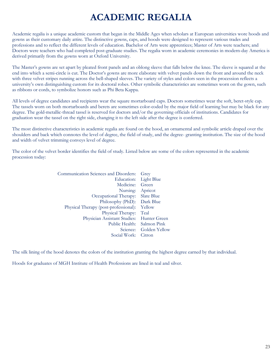## **ACADEMIC REGALIA**

Academic regalia is a unique academic custom that began in the Middle Ages when scholars at European universities wore hoods and gowns as their customary daily attire. The distinctive gowns, caps, and hoods were designed to represent various trades and professions and to reflect the different levels of education. Bachelor of Arts were apprentices; Master of Arts were teachers; and Doctors were teachers who had completed post-graduate studies. The regalia worn in academic ceremonies in modern-day America is derived primarily from the gowns worn at Oxford University.

The Master's gowns are set apart by pleated front panels and an oblong sleeve that falls below the knee. The sleeve is squared at the end into which a semi-circle is cut. The Doctor's gowns are more elaborate with velvet panels down the front and around the neck with three velvet stripes running across the bell-shaped sleeves. The variety of styles and colors seen in the procession reflects a university's own distinguishing custom for its doctoral robes. Other symbolic characteristics are sometimes worn on the gown, such as ribbons or cords, to symbolize honors such as Phi Beta Kappa.

All levels of degree candidates and recipients wear the square mortarboard caps. Doctors sometimes wear the soft, beret-style cap. The tassels worn on both mortarboards and berets are sometimes color-coded by the major field of learning but may be black for any degree. The gold-metallic-thread tassel is reserved for doctors and/or the governing officials of institutions. Candidates for graduation wear the tassel on the right side, changing it to the left side after the degree is conferred.

The most distinctive characteristics in academic regalia are found on the hood, an ornamental and symbolic article draped over the shoulders and back which connotes the level of degree, the field of study, and the degree- granting institution. The size of the hood and width of velvet trimming conveys level of degree.

The color of the velvet border identifies the field of study. Listed below are some of the colors represented in the academic procession today:

| Grey                            |
|---------------------------------|
| <b>Light Blue</b><br>Education: |
| Green                           |
| Apricot                         |
| Slate Blue                      |
| Philosophy (PhD): Dark Blue     |
| Yellow                          |
| Teal                            |
| Hunter Green                    |
| Public Health: Salmon Pink      |
| Golden Yellow                   |
| Citron                          |
|                                 |

The silk lining of the hood denotes the colors of the institution granting the highest degree earned by that individual.

Hoods for graduates of MGH Institute of Health Professions are lined in teal and silver.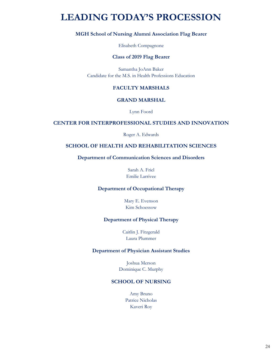## **LEADING TODAY'S PROCESSION**

### **MGH School of Nursing Alumni Association Flag Bearer**

Elisabeth Compagnone

#### **Class of 2019 Flag Bearer**

Samantha JoAnn Baker Candidate for the M.S. in Health Professions Education

### **FACULTY MARSHALS**

### **GRAND MARSHAL**

Lynn Foord

### **CENTER FOR INTERPROFESSIONAL STUDIES AND INNOVATION**

Roger A. Edwards

### **SCHOOL OF HEALTH AND REHABILITATION SCIENCES**

**Department of Communication Sciences and Disorders**

Sarah A. Friel Emilie Larrivee

#### **Department of Occupational Therapy**

Mary E. Evenson Kim Schoessow

#### **Department of Physical Therapy**

Caitlin J. Fitzgerald Laura Plummer

#### **Department of Physician Assistant Studies**

Joshua Merson Dominique C. Murphy

#### **SCHOOL OF NURSING**

Amy Bruno Patrice Nicholas Kaveri Roy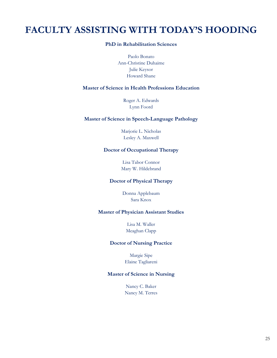## **FACULTY ASSISTING WITH TODAY'S HOODING**

### **PhD in Rehabilitation Sciences**

Paolo Bonato Ann-Christine Duhaime Julie Keysor Howard Shane

### **Master of Science in Health Professions Education**

Roger A. Edwards Lynn Foord

### **Master of Science in Speech-Language Pathology**

Marjorie L. Nicholas Lesley A. Maxwell

### **Doctor of Occupational Therapy**

Lisa Tabor Connor Mary W. Hildebrand

### **Doctor of Physical Therapy**

Donna Applebaum Sara Knox

### **Master of Physician Assistant Studies**

Lisa M. Waller Meaghan Clapp

#### **Doctor of Nursing Practice**

Margie Sipe Elaine Tagliareni

### **Master of Science in Nursing**

Nancy C. Baker Nancy M. Terres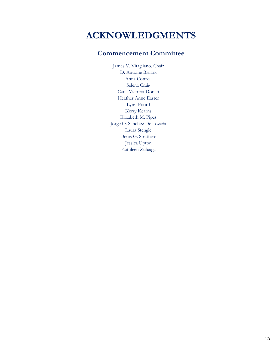## **ACKNOWLEDGMENTS**

### **Commencement Committee**

James V. Vitagliano, Chair D. Antoine Blalark Anna Cottrell Selena Craig Carla Victoria Donati Heather Anne Easter Lynn Foord Kerry Kearns Elizabeth M. Pipes Jorge O. Sanchez De Lozada Laura Stengle Denis G. Stratford Jessica Upton Kathleen Zuluaga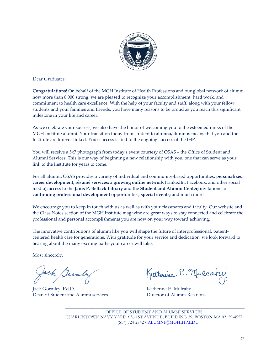

Dear Graduates:

**Congratulations!** On behalf of the MGH Institute of Health Professions and our global network of alumni now more than 8,000 strong, we are pleased to recognize your accomplishment, hard work, and commitment to health care excellence. With the help of your faculty and staff, along with your fellow students and your families and friends, you have many reasons to be proud as you reach this significant milestone in your life and career.

As we celebrate your success, we also have the honor of welcoming you to the esteemed ranks of the MGH Institute alumni. Your transition today from student to alumna/alumnus means that you and the Institute are forever linked. Your success is tied to the ongoing success of the IHP.

You will receive a 5x7 photograph from today's event courtesy of OSAS – the Office of Student and Alumni Services. This is our way of beginning a new relationship with you, one that can serve as your link to the Institute for years to come.

For all alumni, OSAS provides a variety of individual and community-based opportunities: **personalized career development, résumé services; a growing online network** (LinkedIn, Facebook, and other social media); access to the **Janis P. Bellack Library** and the **Student and Alumni Center;** invitations to **continuing professional development** opportunities, **special events;** and much more.

We encourage you to keep in touch with us as well as with your classmates and faculty. Our website and the Class Notes section of the MGH Institute magazine are great ways to stay connected and celebrate the professional and personal accomplishments you are now on your way toward achieving.

The innovative contributions of alumni like you will shape the future of interprofessional, patientcentered health care for generations. With gratitude for your service and dedication, we look forward to hearing about the many exciting paths your career will take.

Most sincerely,

Jack Samly

Jack Gormley, Ed.D. Katherine E. Mulcahy Dean of Student and Alumni services Director of Alumni Relations

Katherine E. Mulcahy

\_\_\_\_\_\_\_\_\_\_\_\_\_\_\_\_\_\_\_\_\_\_\_\_\_\_\_\_\_\_\_\_\_\_\_\_\_\_\_\_\_\_\_\_\_\_\_\_\_\_\_\_\_\_\_\_\_\_\_\_\_\_\_\_\_\_ OFFICE OF STUDENT AND ALUMNI SERVICES CHARLESTOWN NAVY YARD • 36 1ST AVENUE, BUILDING 39, BOSTON MA 02129-4557 (617) 724-2742 • [ALUMNI@MGHIHP.EDU](mailto:ALUMNI@MGHIHP.EDU)